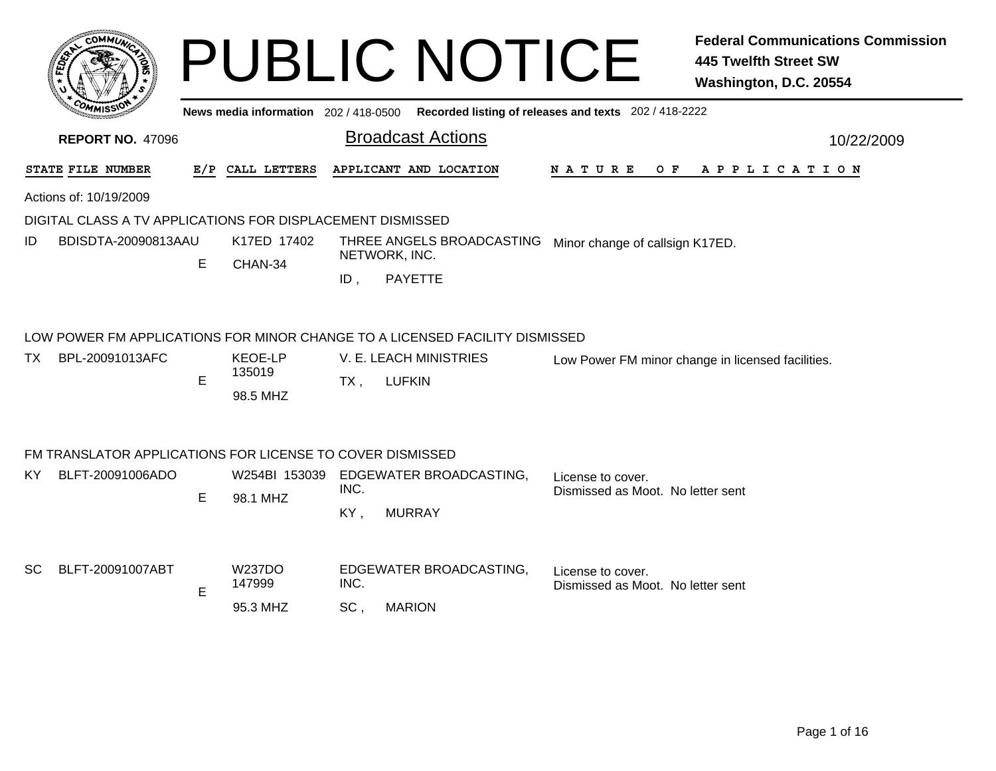|                                                                             |     |                          |                                 | <b>PUBLIC NOTICE</b>                                                                        |                                                        | <b>Federal Communications Commission</b><br><b>445 Twelfth Street SW</b><br>Washington, D.C. 20554 |  |  |
|-----------------------------------------------------------------------------|-----|--------------------------|---------------------------------|---------------------------------------------------------------------------------------------|--------------------------------------------------------|----------------------------------------------------------------------------------------------------|--|--|
|                                                                             |     |                          |                                 | News media information 202 / 418-0500 Recorded listing of releases and texts 202 / 418-2222 |                                                        |                                                                                                    |  |  |
| <b>REPORT NO. 47096</b>                                                     |     |                          |                                 | <b>Broadcast Actions</b>                                                                    |                                                        | 10/22/2009                                                                                         |  |  |
| STATE FILE NUMBER                                                           | E/P | CALL LETTERS             |                                 | APPLICANT AND LOCATION                                                                      | N A T U R E<br>O F                                     | A P P L I C A T I O N                                                                              |  |  |
| Actions of: 10/19/2009                                                      |     |                          |                                 |                                                                                             |                                                        |                                                                                                    |  |  |
| DIGITAL CLASS A TV APPLICATIONS FOR DISPLACEMENT DISMISSED                  |     |                          |                                 |                                                                                             |                                                        |                                                                                                    |  |  |
| BDISDTA-20090813AAU<br>ID                                                   | E   | K17ED 17402<br>CHAN-34   |                                 | THREE ANGELS BROADCASTING<br>NETWORK, INC.                                                  | Minor change of callsign K17ED.                        |                                                                                                    |  |  |
|                                                                             |     |                          | $ID$ ,                          | <b>PAYETTE</b>                                                                              |                                                        |                                                                                                    |  |  |
| LOW POWER FM APPLICATIONS FOR MINOR CHANGE TO A LICENSED FACILITY DISMISSED |     |                          |                                 |                                                                                             |                                                        |                                                                                                    |  |  |
| BPL-20091013AFC<br>TX                                                       |     | <b>KEOE-LP</b><br>135019 | V. E. LEACH MINISTRIES          |                                                                                             | Low Power FM minor change in licensed facilities.      |                                                                                                    |  |  |
|                                                                             | E   | 98.5 MHZ                 | $TX$ ,                          | <b>LUFKIN</b>                                                                               |                                                        |                                                                                                    |  |  |
|                                                                             |     |                          |                                 |                                                                                             |                                                        |                                                                                                    |  |  |
| FM TRANSLATOR APPLICATIONS FOR LICENSE TO COVER DISMISSED                   |     |                          |                                 |                                                                                             |                                                        |                                                                                                    |  |  |
| BLFT-20091006ADO<br>KY.                                                     |     |                          | INC.                            | W254BI 153039 EDGEWATER BROADCASTING,                                                       | License to cover.<br>Dismissed as Moot. No letter sent |                                                                                                    |  |  |
|                                                                             | Е   | 98.1 MHZ                 | KY.                             | <b>MURRAY</b>                                                                               |                                                        |                                                                                                    |  |  |
|                                                                             |     |                          |                                 |                                                                                             |                                                        |                                                                                                    |  |  |
| SC<br>BLFT-20091007ABT                                                      |     | W237DO<br>147999         | EDGEWATER BROADCASTING,<br>INC. |                                                                                             | License to cover.<br>Dismissed as Moot. No letter sent |                                                                                                    |  |  |
|                                                                             | Е   | 95.3 MHZ                 | SC,                             | <b>MARION</b>                                                                               |                                                        |                                                                                                    |  |  |
|                                                                             |     |                          |                                 |                                                                                             |                                                        |                                                                                                    |  |  |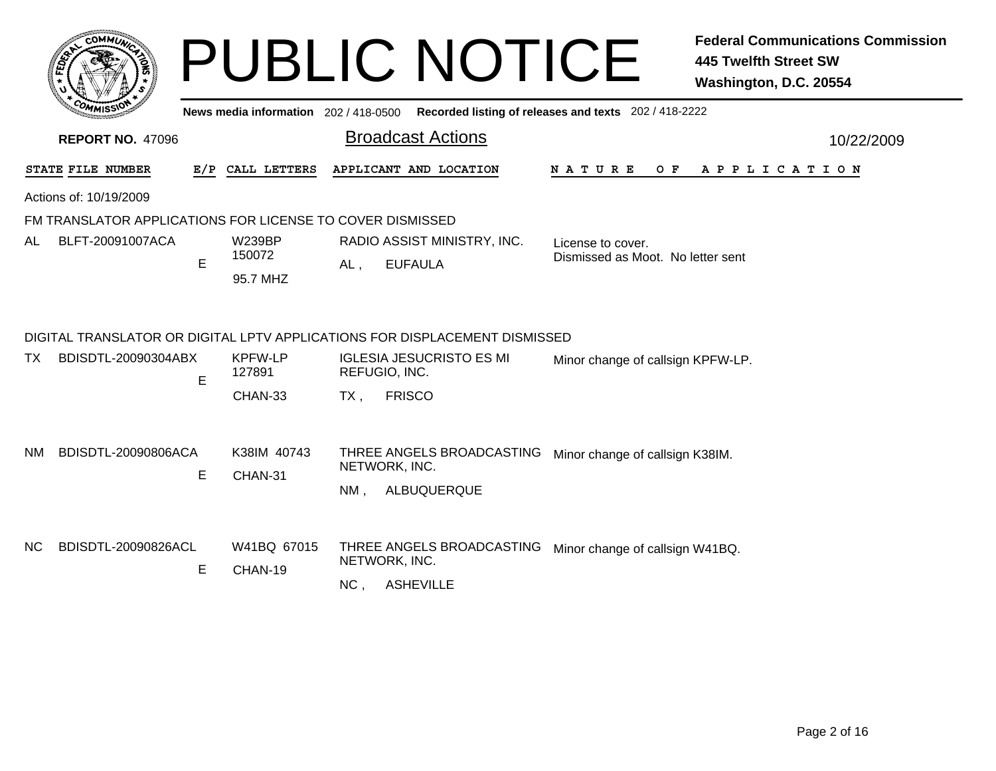|     |                                                           |   |                          |        | <b>PUBLIC NOTICE</b>                                                                    |                                   | <b>Federal Communications Commission</b><br><b>445 Twelfth Street SW</b><br>Washington, D.C. 20554 |
|-----|-----------------------------------------------------------|---|--------------------------|--------|-----------------------------------------------------------------------------------------|-----------------------------------|----------------------------------------------------------------------------------------------------|
|     |                                                           |   |                          |        | News media information 202/418-0500 Recorded listing of releases and texts 202/418-2222 |                                   |                                                                                                    |
|     | <b>REPORT NO. 47096</b>                                   |   |                          |        | <b>Broadcast Actions</b>                                                                |                                   | 10/22/2009                                                                                         |
|     | STATE FILE NUMBER                                         |   | E/P CALL LETTERS         |        | APPLICANT AND LOCATION                                                                  | O F<br>N A T U R E                | A P P L I C A T I O N                                                                              |
|     | Actions of: 10/19/2009                                    |   |                          |        |                                                                                         |                                   |                                                                                                    |
|     | FM TRANSLATOR APPLICATIONS FOR LICENSE TO COVER DISMISSED |   |                          |        |                                                                                         |                                   |                                                                                                    |
| AL  | BLFT-20091007ACA                                          |   | <b>W239BP</b><br>150072  |        | RADIO ASSIST MINISTRY, INC.                                                             | License to cover.                 |                                                                                                    |
|     |                                                           | E | 95.7 MHZ                 | AL.    | <b>EUFAULA</b>                                                                          | Dismissed as Moot. No letter sent |                                                                                                    |
|     |                                                           |   |                          |        | DIGITAL TRANSLATOR OR DIGITAL LPTV APPLICATIONS FOR DISPLACEMENT DISMISSED              |                                   |                                                                                                    |
| TX. | BDISDTL-20090304ABX                                       | E | <b>KPFW-LP</b><br>127891 |        | <b>IGLESIA JESUCRISTO ES MI</b><br>REFUGIO, INC.                                        | Minor change of callsign KPFW-LP. |                                                                                                    |
|     |                                                           |   | CHAN-33                  | $TX$ , | <b>FRISCO</b>                                                                           |                                   |                                                                                                    |
| NM. | BDISDTL-20090806ACA                                       | E | K38IM 40743<br>CHAN-31   | NM.    | THREE ANGELS BROADCASTING<br>NETWORK, INC.<br>ALBUQUERQUE                               | Minor change of callsign K38IM.   |                                                                                                    |
| NC. | BDISDTL-20090826ACL                                       | Е | W41BQ 67015<br>CHAN-19   | NC,    | THREE ANGELS BROADCASTING<br>NETWORK, INC.<br><b>ASHEVILLE</b>                          | Minor change of callsign W41BQ.   |                                                                                                    |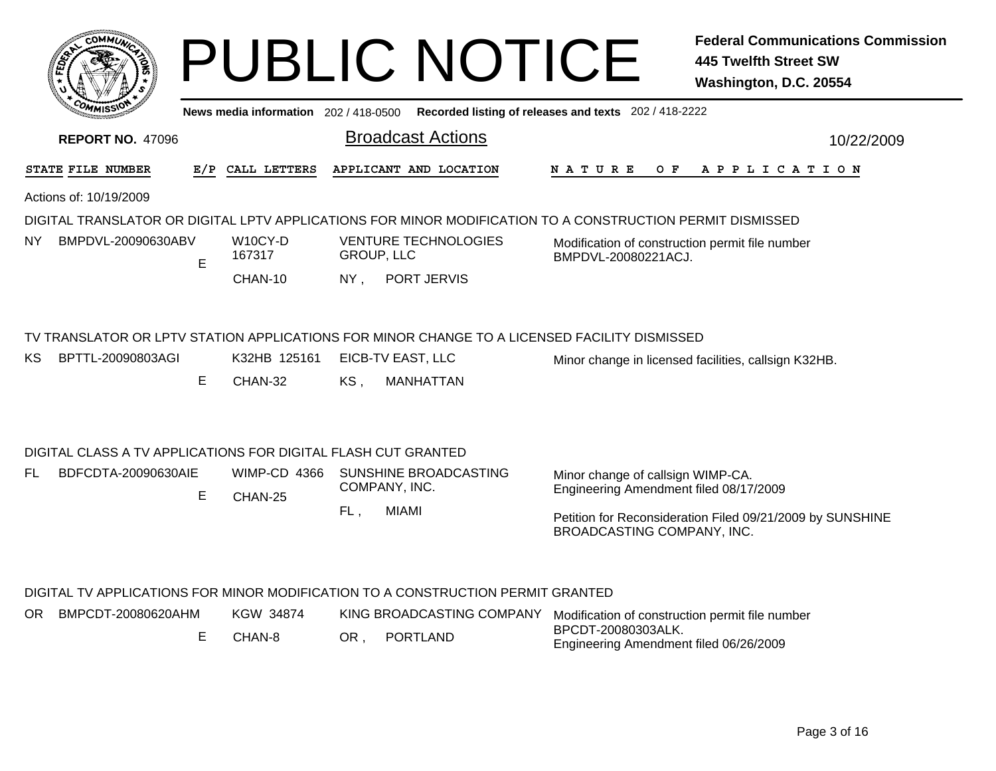|                                                                                                           |   |                                       |                          | <b>PUBLIC NOTICE</b>                                                                                                                  |                                                                                                                 | <b>Federal Communications Commission</b><br>445 Twelfth Street SW<br>Washington, D.C. 20554 |  |  |  |
|-----------------------------------------------------------------------------------------------------------|---|---------------------------------------|--------------------------|---------------------------------------------------------------------------------------------------------------------------------------|-----------------------------------------------------------------------------------------------------------------|---------------------------------------------------------------------------------------------|--|--|--|
|                                                                                                           |   | News media information $202/418-0500$ |                          |                                                                                                                                       | Recorded listing of releases and texts 202 / 418-2222                                                           |                                                                                             |  |  |  |
| <b>REPORT NO. 47096</b>                                                                                   |   |                                       | <b>Broadcast Actions</b> |                                                                                                                                       |                                                                                                                 | 10/22/2009                                                                                  |  |  |  |
| STATE FILE NUMBER                                                                                         |   | E/P CALL LETTERS                      |                          | APPLICANT AND LOCATION                                                                                                                | N A T U R E                                                                                                     | OF APPLICATION                                                                              |  |  |  |
| Actions of: 10/19/2009                                                                                    |   |                                       |                          |                                                                                                                                       |                                                                                                                 |                                                                                             |  |  |  |
| DIGITAL TRANSLATOR OR DIGITAL LPTV APPLICATIONS FOR MINOR MODIFICATION TO A CONSTRUCTION PERMIT DISMISSED |   |                                       |                          |                                                                                                                                       |                                                                                                                 |                                                                                             |  |  |  |
| BMPDVL-20090630ABV<br>NY.                                                                                 | E | W <sub>10</sub> CY-D<br>167317        | <b>GROUP, LLC</b>        | <b>VENTURE TECHNOLOGIES</b>                                                                                                           | Modification of construction permit file number<br>BMPDVL-20080221ACJ.                                          |                                                                                             |  |  |  |
|                                                                                                           |   | CHAN-10                               | NY.                      | PORT JERVIS                                                                                                                           |                                                                                                                 |                                                                                             |  |  |  |
| BPTTL-20090803AGI<br>KS                                                                                   | E | K32HB 125161<br>CHAN-32               | KS.                      | TV TRANSLATOR OR LPTV STATION APPLICATIONS FOR MINOR CHANGE TO A LICENSED FACILITY DISMISSED<br>EICB-TV EAST, LLC<br><b>MANHATTAN</b> |                                                                                                                 | Minor change in licensed facilities, callsign K32HB.                                        |  |  |  |
| DIGITAL CLASS A TV APPLICATIONS FOR DIGITAL FLASH CUT GRANTED                                             |   |                                       |                          |                                                                                                                                       |                                                                                                                 |                                                                                             |  |  |  |
| BDFCDTA-20090630AIE<br>FL                                                                                 | E | <b>WIMP-CD 4366</b><br>CHAN-25        |                          | SUNSHINE BROADCASTING<br>COMPANY, INC.                                                                                                | Minor change of callsign WIMP-CA.<br>Engineering Amendment filed 08/17/2009                                     |                                                                                             |  |  |  |
|                                                                                                           |   |                                       | FL,                      | <b>MIAMI</b>                                                                                                                          | BROADCASTING COMPANY, INC.                                                                                      | Petition for Reconsideration Filed 09/21/2009 by SUNSHINE                                   |  |  |  |
| BMPCDT-20080620AHM<br>OR                                                                                  | Е | KGW 34874<br>CHAN-8                   | OR.                      | DIGITAL TV APPLICATIONS FOR MINOR MODIFICATION TO A CONSTRUCTION PERMIT GRANTED<br>KING BROADCASTING COMPANY<br><b>PORTLAND</b>       | Modification of construction permit file number<br>BPCDT-20080303ALK.<br>Engineering Amendment filed 06/26/2009 |                                                                                             |  |  |  |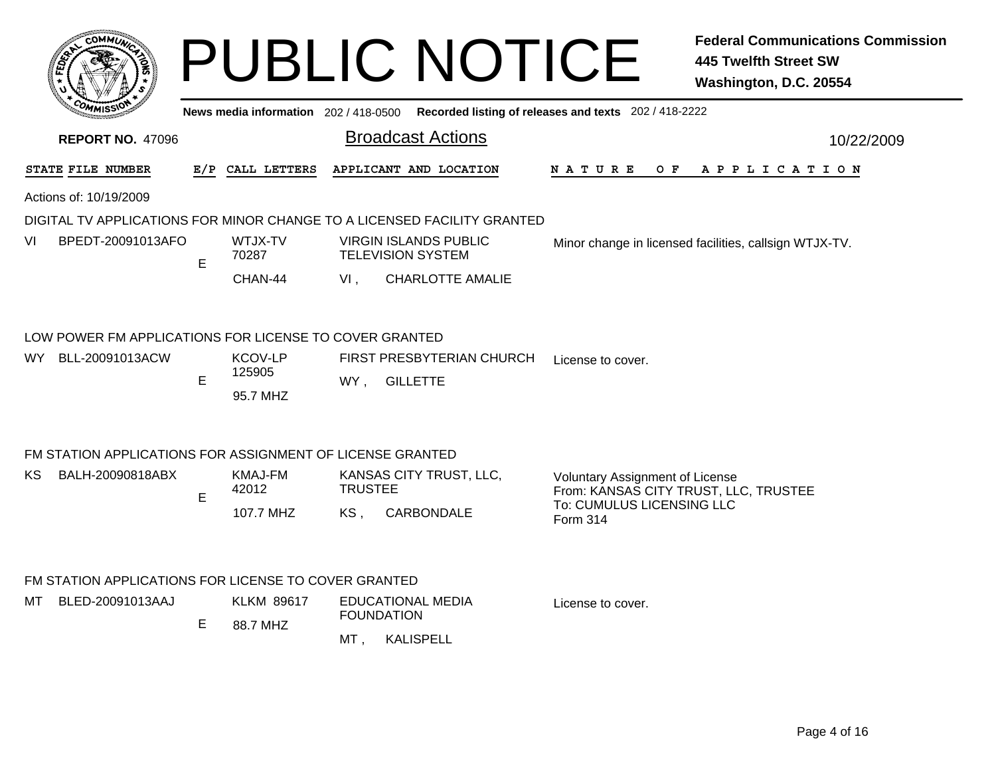|                         | <b>COMMI</b>                                                              |   |                                      |                       | <b>PUBLIC NOTICE</b>                                                                        |                                                                                        | <b>Federal Communications Commission</b><br><b>445 Twelfth Street SW</b><br>Washington, D.C. 20554 |
|-------------------------|---------------------------------------------------------------------------|---|--------------------------------------|-----------------------|---------------------------------------------------------------------------------------------|----------------------------------------------------------------------------------------|----------------------------------------------------------------------------------------------------|
|                         |                                                                           |   |                                      |                       | News media information 202 / 418-0500 Recorded listing of releases and texts 202 / 418-2222 |                                                                                        |                                                                                                    |
|                         | <b>REPORT NO. 47096</b>                                                   |   |                                      |                       | <b>Broadcast Actions</b>                                                                    |                                                                                        | 10/22/2009                                                                                         |
|                         | STATE FILE NUMBER                                                         |   | E/P CALL LETTERS                     |                       | APPLICANT AND LOCATION                                                                      | N A T U R E<br>O F                                                                     | APPLICATION                                                                                        |
|                         | Actions of: 10/19/2009                                                    |   |                                      |                       |                                                                                             |                                                                                        |                                                                                                    |
|                         |                                                                           |   |                                      |                       | DIGITAL TV APPLICATIONS FOR MINOR CHANGE TO A LICENSED FACILITY GRANTED                     |                                                                                        |                                                                                                    |
| VI<br>BPEDT-20091013AFO |                                                                           | E | WTJX-TV<br>70287                     |                       | <b>VIRGIN ISLANDS PUBLIC</b><br><b>TELEVISION SYSTEM</b>                                    | Minor change in licensed facilities, callsign WTJX-TV.                                 |                                                                                                    |
|                         |                                                                           |   | CHAN-44                              | VI,                   | <b>CHARLOTTE AMALIE</b>                                                                     |                                                                                        |                                                                                                    |
| WY.                     | LOW POWER FM APPLICATIONS FOR LICENSE TO COVER GRANTED<br>BLL-20091013ACW | E | <b>KCOV-LP</b><br>125905<br>95.7 MHZ |                       | FIRST PRESBYTERIAN CHURCH<br>WY, GILLETTE                                                   | License to cover.                                                                      |                                                                                                    |
|                         | FM STATION APPLICATIONS FOR ASSIGNMENT OF LICENSE GRANTED                 |   |                                      |                       |                                                                                             |                                                                                        |                                                                                                    |
| KS.                     | BALH-20090818ABX                                                          | E | <b>KMAJ-FM</b><br>42012<br>107.7 MHZ | <b>TRUSTEE</b><br>KS, | KANSAS CITY TRUST, LLC,<br>CARBONDALE                                                       | <b>Voluntary Assignment of License</b><br>To: CUMULUS LICENSING LLC<br><b>Form 314</b> | From: KANSAS CITY TRUST, LLC, TRUSTEE                                                              |
|                         | FM STATION APPLICATIONS FOR LICENSE TO COVER GRANTED                      |   |                                      |                       |                                                                                             |                                                                                        |                                                                                                    |
| MT                      | BLED-20091013AAJ                                                          | Е | <b>KLKM 89617</b><br>88.7 MHZ        | MT,                   | <b>EDUCATIONAL MEDIA</b><br><b>FOUNDATION</b><br>KALISPELL                                  | License to cover.                                                                      |                                                                                                    |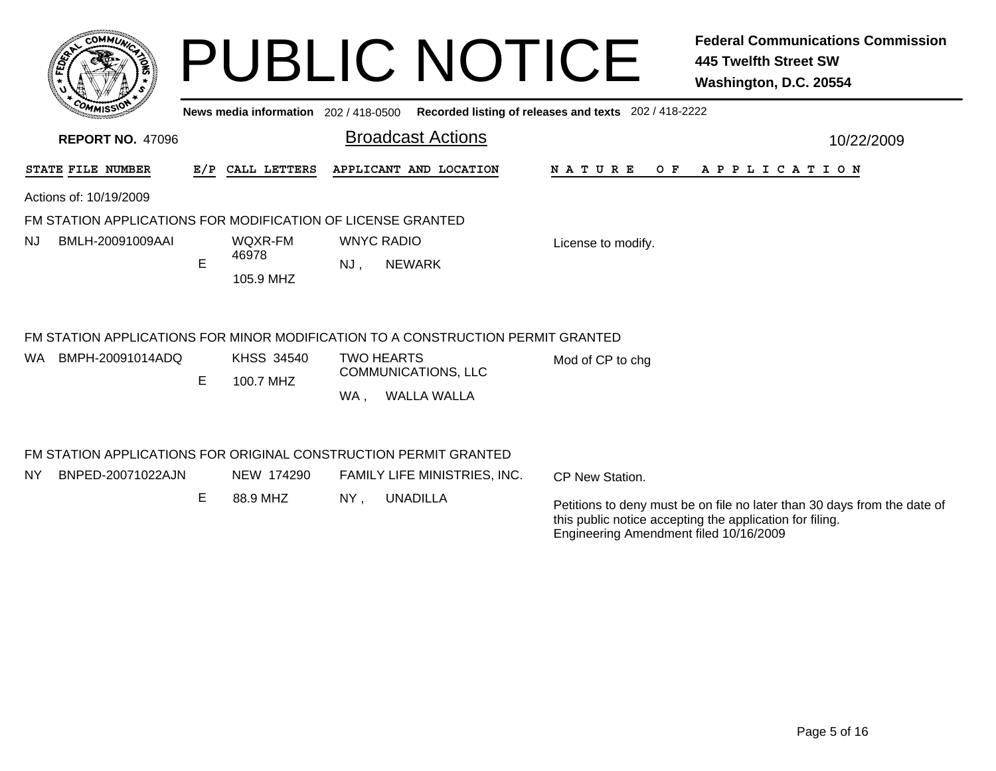| <b>COMMU</b>                                                |   |                                       | <b>PUBLIC NOTICE</b>                                                            |                                                       | <b>Federal Communications Commission</b><br><b>445 Twelfth Street SW</b><br>Washington, D.C. 20554 |
|-------------------------------------------------------------|---|---------------------------------------|---------------------------------------------------------------------------------|-------------------------------------------------------|----------------------------------------------------------------------------------------------------|
|                                                             |   | News media information 202 / 418-0500 |                                                                                 | Recorded listing of releases and texts 202 / 418-2222 |                                                                                                    |
| <b>REPORT NO. 47096</b>                                     |   |                                       | <b>Broadcast Actions</b>                                                        |                                                       | 10/22/2009                                                                                         |
| STATE FILE NUMBER                                           |   | E/P CALL LETTERS                      | APPLICANT AND LOCATION                                                          | O F<br>N A T U R E                                    | APPLICATION                                                                                        |
| Actions of: 10/19/2009                                      |   |                                       |                                                                                 |                                                       |                                                                                                    |
| FM STATION APPLICATIONS FOR MODIFICATION OF LICENSE GRANTED |   |                                       |                                                                                 |                                                       |                                                                                                    |
| BMLH-20091009AAI<br>NJ                                      | E | WQXR-FM<br>46978                      | <b>WNYC RADIO</b><br><b>NEWARK</b><br>NJ.                                       | License to modify.                                    |                                                                                                    |
|                                                             |   | 105.9 MHZ                             |                                                                                 |                                                       |                                                                                                    |
|                                                             |   |                                       | FM STATION APPLICATIONS FOR MINOR MODIFICATION TO A CONSTRUCTION PERMIT GRANTED |                                                       |                                                                                                    |
| BMPH-20091014ADQ<br>WA.                                     |   | <b>KHSS 34540</b>                     | <b>TWO HEARTS</b><br>COMMUNICATIONS, LLC                                        | Mod of CP to chg                                      |                                                                                                    |
|                                                             | Е | 100.7 MHZ                             | <b>WALLA WALLA</b><br>WA.                                                       |                                                       |                                                                                                    |
|                                                             |   |                                       | FM STATION APPLICATIONS FOR ORIGINAL CONSTRUCTION PERMIT GRANTED                |                                                       |                                                                                                    |

| NY I | BNPED-20071022AJN | NEW 174290 | FAMILY LIFE MINISTRIES, INC. | CP New Station.                                                                                                                      |  |
|------|-------------------|------------|------------------------------|--------------------------------------------------------------------------------------------------------------------------------------|--|
|      |                   | 88.9 MHZ   | NY.<br><b>UNADILLA</b>       | Petitions to deny must be on file no later than 30 days from the date of<br>this public notice accepting the application for filing. |  |

Engineering Amendment filed 10/16/2009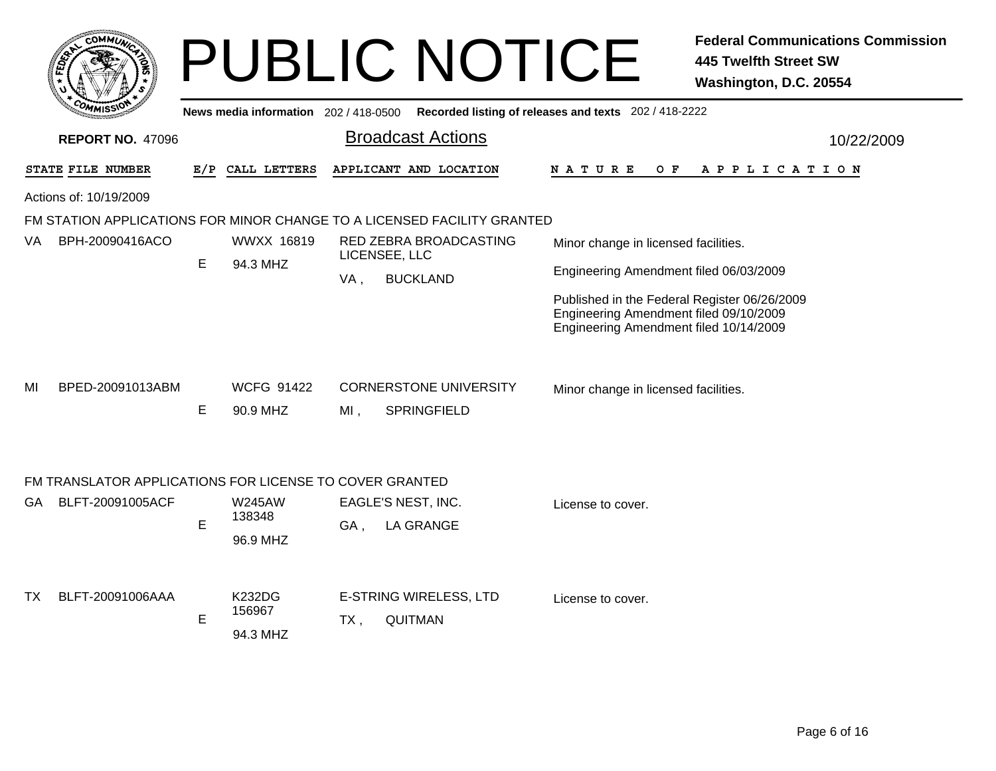| c.OMM1.                                                                            |     |                                     |        | <b>PUBLIC NOTICE</b>                     |                                                                                                                                  | <b>Federal Communications Commission</b><br><b>445 Twelfth Street SW</b><br>Washington, D.C. 20554 |  |  |  |
|------------------------------------------------------------------------------------|-----|-------------------------------------|--------|------------------------------------------|----------------------------------------------------------------------------------------------------------------------------------|----------------------------------------------------------------------------------------------------|--|--|--|
|                                                                                    |     | News media information 202/418-0500 |        |                                          | Recorded listing of releases and texts 202 / 418-2222                                                                            |                                                                                                    |  |  |  |
| <b>REPORT NO. 47096</b>                                                            |     |                                     |        | <b>Broadcast Actions</b>                 |                                                                                                                                  | 10/22/2009                                                                                         |  |  |  |
| STATE FILE NUMBER                                                                  | E/P | CALL LETTERS                        |        | APPLICANT AND LOCATION                   | N A T U R E<br>O F                                                                                                               | APPLICATION                                                                                        |  |  |  |
| Actions of: 10/19/2009                                                             |     |                                     |        |                                          |                                                                                                                                  |                                                                                                    |  |  |  |
| FM STATION APPLICATIONS FOR MINOR CHANGE TO A LICENSED FACILITY GRANTED            |     |                                     |        |                                          |                                                                                                                                  |                                                                                                    |  |  |  |
| BPH-20090416ACO<br>VA.                                                             |     | WWXX 16819                          |        | RED ZEBRA BROADCASTING<br>LICENSEE, LLC  | Minor change in licensed facilities.                                                                                             |                                                                                                    |  |  |  |
|                                                                                    | E   | 94.3 MHZ                            | VA,    | <b>BUCKLAND</b>                          | Engineering Amendment filed 06/03/2009                                                                                           |                                                                                                    |  |  |  |
|                                                                                    |     |                                     |        |                                          | Published in the Federal Register 06/26/2009<br>Engineering Amendment filed 09/10/2009<br>Engineering Amendment filed 10/14/2009 |                                                                                                    |  |  |  |
| BPED-20091013ABM<br>MI                                                             |     | <b>WCFG 91422</b>                   |        | <b>CORNERSTONE UNIVERSITY</b>            | Minor change in licensed facilities.                                                                                             |                                                                                                    |  |  |  |
|                                                                                    | E   | 90.9 MHZ                            | $MI$ , | <b>SPRINGFIELD</b>                       |                                                                                                                                  |                                                                                                    |  |  |  |
| FM TRANSLATOR APPLICATIONS FOR LICENSE TO COVER GRANTED<br>BLFT-20091005ACF<br>GA. |     | <b>W245AW</b>                       |        | EAGLE'S NEST, INC.                       |                                                                                                                                  |                                                                                                    |  |  |  |
|                                                                                    | E   | 138348<br>96.9 MHZ                  | GA,    | <b>LA GRANGE</b>                         | License to cover.                                                                                                                |                                                                                                    |  |  |  |
| BLFT-20091006AAA<br>TX.                                                            | E   | <b>K232DG</b><br>156967<br>94.3 MHZ | $TX$ , | E-STRING WIRELESS, LTD<br><b>QUITMAN</b> | License to cover.                                                                                                                |                                                                                                    |  |  |  |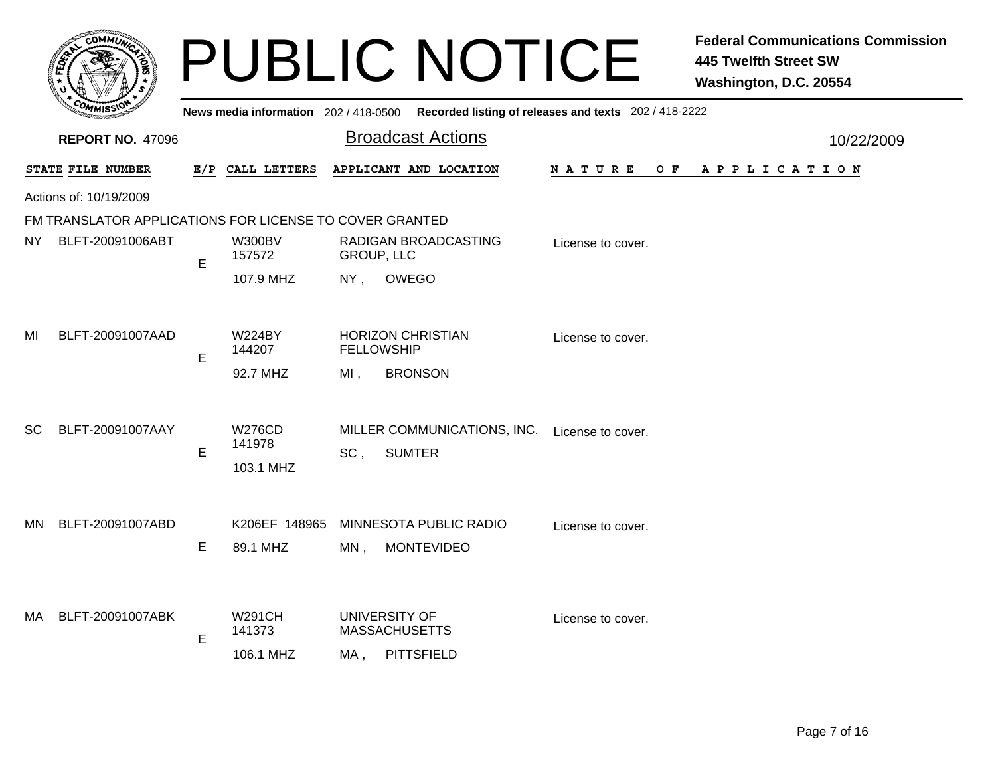|           | COMMUN                                                  |     |                                      |                          | <b>PUBLIC NOTICE</b>                                       |                                                       | <b>Federal Communications Commission</b><br><b>445 Twelfth Street SW</b><br>Washington, D.C. 20554 |  |
|-----------|---------------------------------------------------------|-----|--------------------------------------|--------------------------|------------------------------------------------------------|-------------------------------------------------------|----------------------------------------------------------------------------------------------------|--|
|           |                                                         |     | News media information 202/418-0500  |                          |                                                            | Recorded listing of releases and texts 202 / 418-2222 |                                                                                                    |  |
|           | <b>REPORT NO. 47096</b>                                 |     |                                      | <b>Broadcast Actions</b> |                                                            |                                                       | 10/22/2009                                                                                         |  |
|           | STATE FILE NUMBER                                       | E/P | CALL LETTERS                         |                          | APPLICANT AND LOCATION                                     | N A T U R E<br>O F                                    | APPLICATION                                                                                        |  |
|           | Actions of: 10/19/2009                                  |     |                                      |                          |                                                            |                                                       |                                                                                                    |  |
|           | FM TRANSLATOR APPLICATIONS FOR LICENSE TO COVER GRANTED |     |                                      |                          |                                                            |                                                       |                                                                                                    |  |
| NY.       | BLFT-20091006ABT                                        | E   | <b>W300BV</b><br>157572              | GROUP, LLC               | RADIGAN BROADCASTING                                       | License to cover.                                     |                                                                                                    |  |
|           |                                                         |     | 107.9 MHZ                            | NY,                      | OWEGO                                                      |                                                       |                                                                                                    |  |
| MI        | BLFT-20091007AAD                                        | E   | <b>W224BY</b><br>144207              | <b>FELLOWSHIP</b>        | <b>HORIZON CHRISTIAN</b>                                   | License to cover.                                     |                                                                                                    |  |
|           |                                                         |     | 92.7 MHZ                             | MI.                      | <b>BRONSON</b>                                             |                                                       |                                                                                                    |  |
| <b>SC</b> | BLFT-20091007AAY                                        | E   | <b>W276CD</b><br>141978<br>103.1 MHZ | SC,                      | MILLER COMMUNICATIONS, INC.<br><b>SUMTER</b>               | License to cover.                                     |                                                                                                    |  |
| ΜN        | BLFT-20091007ABD                                        | Е   | K206EF 148965<br>89.1 MHZ            | MN,                      | MINNESOTA PUBLIC RADIO<br><b>MONTEVIDEO</b>                | License to cover.                                     |                                                                                                    |  |
| MA.       | BLFT-20091007ABK                                        | E   | <b>W291CH</b><br>141373<br>106.1 MHZ | MA .                     | UNIVERSITY OF<br><b>MASSACHUSETTS</b><br><b>PITTSFIELD</b> | License to cover.                                     |                                                                                                    |  |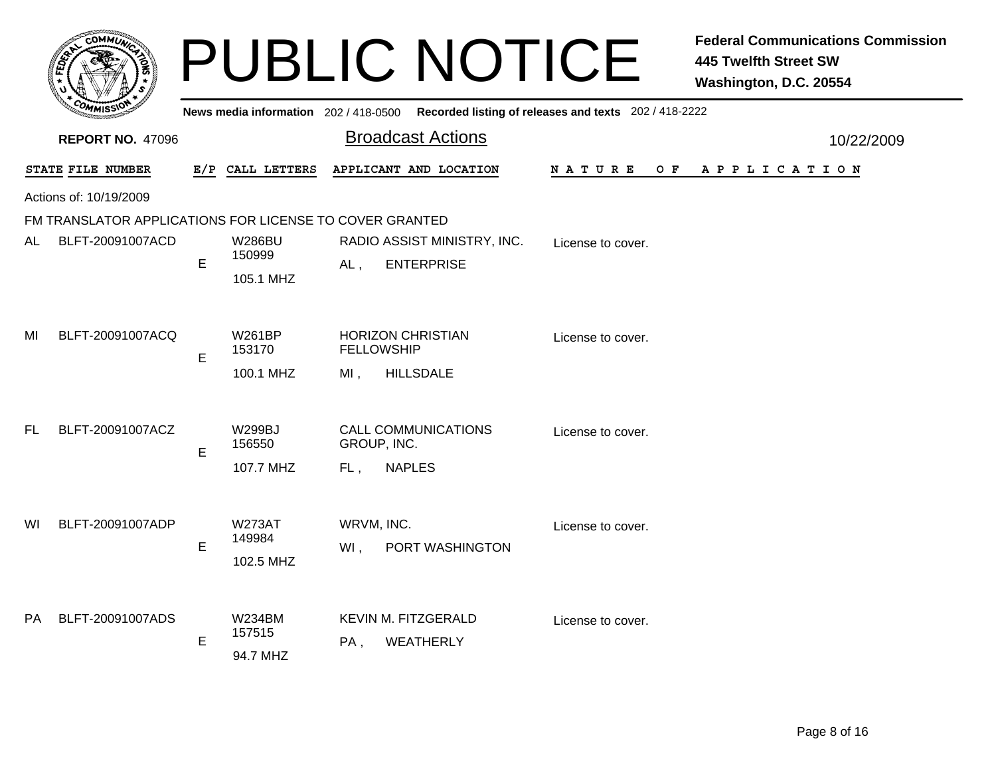|     |                                                         |   |                                      | <b>PUBLIC NOTICE</b>                                                                        |                    | <b>Federal Communications Commission</b><br><b>445 Twelfth Street SW</b><br>Washington, D.C. 20554 |
|-----|---------------------------------------------------------|---|--------------------------------------|---------------------------------------------------------------------------------------------|--------------------|----------------------------------------------------------------------------------------------------|
|     |                                                         |   |                                      | News media information 202 / 418-0500 Recorded listing of releases and texts 202 / 418-2222 |                    |                                                                                                    |
|     | <b>REPORT NO. 47096</b>                                 |   |                                      | <b>Broadcast Actions</b>                                                                    | 10/22/2009         |                                                                                                    |
|     | STATE FILE NUMBER                                       |   | E/P CALL LETTERS                     | APPLICANT AND LOCATION                                                                      | N A T U R E<br>O F | A P P L I C A T I O N                                                                              |
|     | Actions of: 10/19/2009                                  |   |                                      |                                                                                             |                    |                                                                                                    |
|     | FM TRANSLATOR APPLICATIONS FOR LICENSE TO COVER GRANTED |   |                                      |                                                                                             |                    |                                                                                                    |
| AL  | BLFT-20091007ACD                                        | E | <b>W286BU</b><br>150999<br>105.1 MHZ | RADIO ASSIST MINISTRY, INC.<br><b>ENTERPRISE</b><br>$AL$ ,                                  | License to cover.  |                                                                                                    |
| MI  | BLFT-20091007ACQ                                        | E | <b>W261BP</b><br>153170<br>100.1 MHZ | <b>HORIZON CHRISTIAN</b><br><b>FELLOWSHIP</b><br><b>HILLSDALE</b><br>$MI$ ,                 | License to cover.  |                                                                                                    |
| FL. | BLFT-20091007ACZ                                        | E | <b>W299BJ</b><br>156550<br>107.7 MHZ | <b>CALL COMMUNICATIONS</b><br>GROUP, INC.<br><b>NAPLES</b><br>FL,                           | License to cover.  |                                                                                                    |
| WI  | BLFT-20091007ADP                                        | E | <b>W273AT</b><br>149984<br>102.5 MHZ | WRVM, INC.<br>PORT WASHINGTON<br>WI,                                                        | License to cover.  |                                                                                                    |
| PA  | BLFT-20091007ADS                                        | E | <b>W234BM</b><br>157515<br>94.7 MHZ  | KEVIN M. FITZGERALD<br>PA,<br><b>WEATHERLY</b>                                              | License to cover.  |                                                                                                    |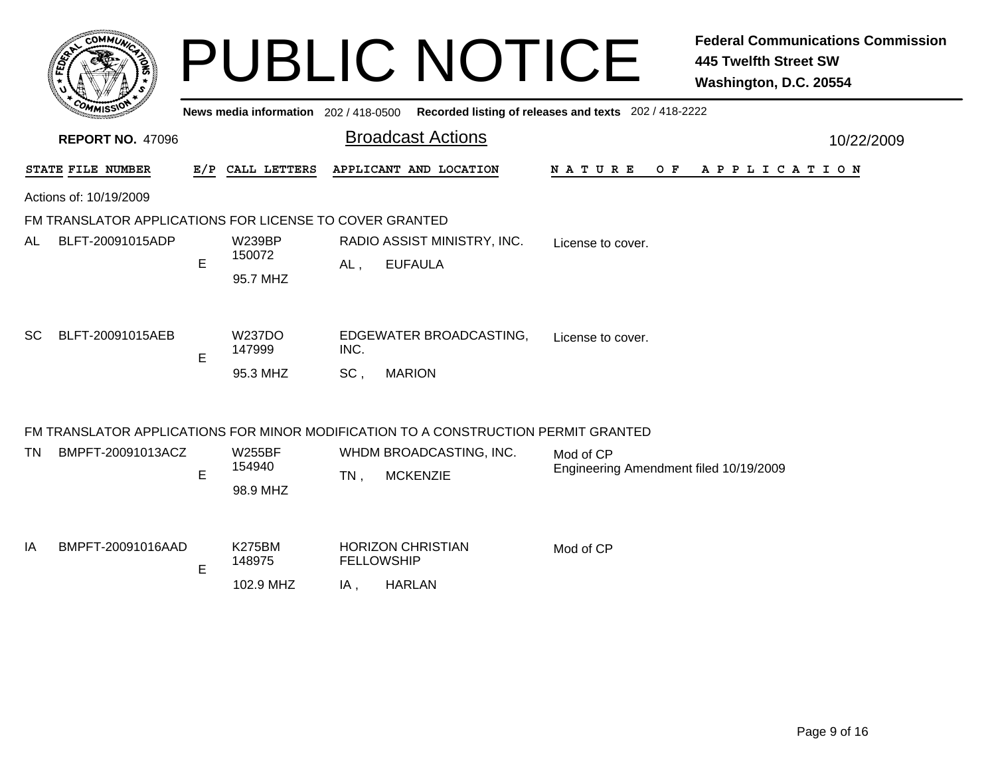|    |                                                         |   |                                      |             | <b>PUBLIC NOTICE</b>                                                               |                                                       | <b>Federal Communications Commission</b><br><b>445 Twelfth Street SW</b><br>Washington, D.C. 20554 |
|----|---------------------------------------------------------|---|--------------------------------------|-------------|------------------------------------------------------------------------------------|-------------------------------------------------------|----------------------------------------------------------------------------------------------------|
|    |                                                         |   | News media information 202/418-0500  |             |                                                                                    | Recorded listing of releases and texts 202 / 418-2222 |                                                                                                    |
|    | <b>REPORT NO. 47096</b>                                 |   |                                      |             | <b>Broadcast Actions</b>                                                           |                                                       | 10/22/2009                                                                                         |
|    | STATE FILE NUMBER                                       |   | E/P CALL LETTERS                     |             | APPLICANT AND LOCATION                                                             | N A T U R E<br>O F                                    | A P P L I C A T I O N                                                                              |
|    | Actions of: 10/19/2009                                  |   |                                      |             |                                                                                    |                                                       |                                                                                                    |
|    | FM TRANSLATOR APPLICATIONS FOR LICENSE TO COVER GRANTED |   |                                      |             |                                                                                    |                                                       |                                                                                                    |
| AL | BLFT-20091015ADP                                        | E | <b>W239BP</b><br>150072<br>95.7 MHZ  | $AL$ ,      | RADIO ASSIST MINISTRY, INC.<br><b>EUFAULA</b>                                      | License to cover.                                     |                                                                                                    |
| SC | BLFT-20091015AEB                                        | E | <b>W237DO</b><br>147999<br>95.3 MHZ  | INC.<br>SC, | EDGEWATER BROADCASTING,<br><b>MARION</b>                                           | License to cover.                                     |                                                                                                    |
|    |                                                         |   |                                      |             | FM TRANSLATOR APPLICATIONS FOR MINOR MODIFICATION TO A CONSTRUCTION PERMIT GRANTED |                                                       |                                                                                                    |
| TN | BMPFT-20091013ACZ                                       | E | <b>W255BF</b><br>154940<br>98.9 MHZ  | $TN$ ,      | WHDM BROADCASTING, INC.<br><b>MCKENZIE</b>                                         | Mod of CP<br>Engineering Amendment filed 10/19/2009   |                                                                                                    |
| ΙA | BMPFT-20091016AAD                                       | E | <b>K275BM</b><br>148975<br>102.9 MHZ | IA,         | <b>HORIZON CHRISTIAN</b><br><b>FELLOWSHIP</b><br><b>HARLAN</b>                     | Mod of CP                                             |                                                                                                    |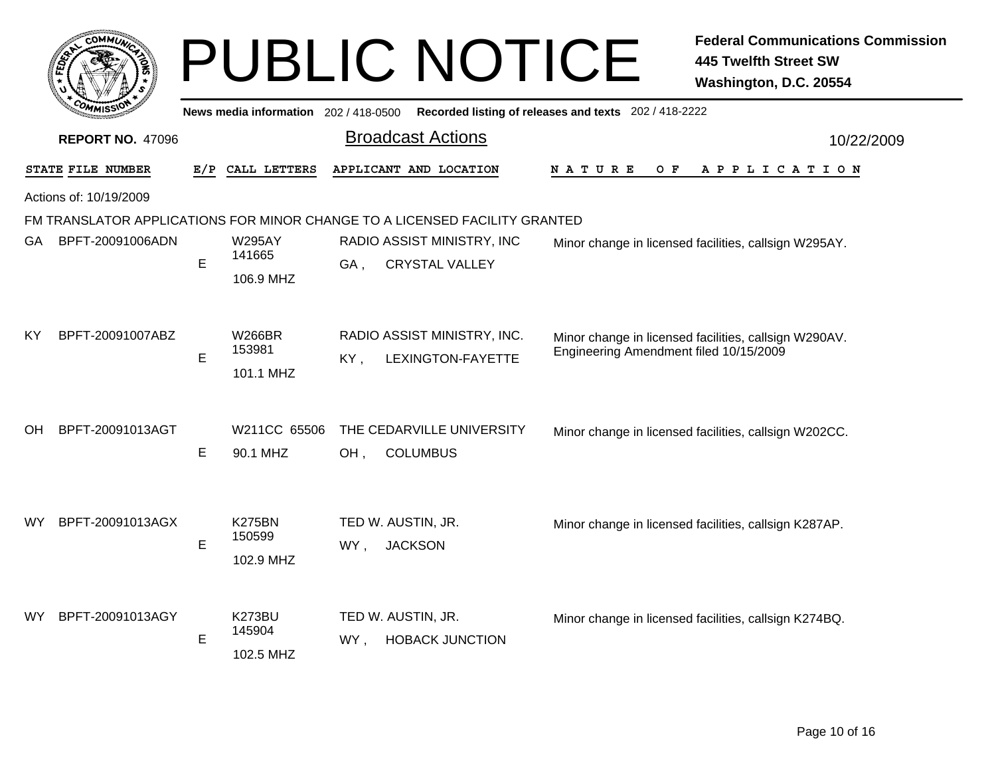|                         |                                                                            |     |                                                  | <b>PUBLIC NOTICE</b>                        |                   |                                                       | <b>Federal Communications Commission</b><br><b>445 Twelfth Street SW</b><br>Washington, D.C. 20554 |
|-------------------------|----------------------------------------------------------------------------|-----|--------------------------------------------------|---------------------------------------------|-------------------|-------------------------------------------------------|----------------------------------------------------------------------------------------------------|
|                         |                                                                            |     | News media information 202/418-0500              |                                             |                   | Recorded listing of releases and texts 202 / 418-2222 |                                                                                                    |
| <b>REPORT NO. 47096</b> |                                                                            |     |                                                  | <b>Broadcast Actions</b>                    |                   |                                                       | 10/22/2009                                                                                         |
| STATE FILE NUMBER       |                                                                            | E/P | APPLICANT AND LOCATION<br>CALL LETTERS<br>NATURE |                                             | O F               | A P P L I C A T I O N                                 |                                                                                                    |
|                         | Actions of: 10/19/2009                                                     |     |                                                  |                                             |                   |                                                       |                                                                                                    |
|                         | FM TRANSLATOR APPLICATIONS FOR MINOR CHANGE TO A LICENSED FACILITY GRANTED |     |                                                  |                                             |                   |                                                       |                                                                                                    |
| GA                      | BPFT-20091006ADN                                                           |     | <b>W295AY</b>                                    | RADIO ASSIST MINISTRY, INC                  |                   | Minor change in licensed facilities, callsign W295AY. |                                                                                                    |
|                         |                                                                            | E   | 141665                                           | <b>CRYSTAL VALLEY</b><br>GA,                |                   |                                                       |                                                                                                    |
|                         |                                                                            |     | 106.9 MHZ                                        |                                             |                   |                                                       |                                                                                                    |
| ΚY                      | BPFT-20091007ABZ                                                           |     | W266BR                                           | RADIO ASSIST MINISTRY, INC.                 |                   |                                                       | Minor change in licensed facilities, callsign W290AV.                                              |
|                         |                                                                            | E   | 153981                                           | KY,                                         | LEXINGTON-FAYETTE | Engineering Amendment filed 10/15/2009                |                                                                                                    |
|                         |                                                                            |     | 101.1 MHZ                                        |                                             |                   |                                                       |                                                                                                    |
| OH.                     | BPFT-20091013AGT                                                           |     | W211CC 65506                                     | THE CEDARVILLE UNIVERSITY                   |                   |                                                       | Minor change in licensed facilities, callsign W202CC.                                              |
|                         |                                                                            | E   | 90.1 MHZ                                         | OH,<br><b>COLUMBUS</b>                      |                   |                                                       |                                                                                                    |
| WY.                     | BPFT-20091013AGX                                                           |     | <b>K275BN</b><br>150599                          | TED W. AUSTIN, JR.                          |                   |                                                       | Minor change in licensed facilities, callsign K287AP.                                              |
|                         | BPFT-20091013AGY                                                           | E   | 102.9 MHZ<br><b>K273BU</b>                       | WY,<br><b>JACKSON</b><br>TED W. AUSTIN, JR. |                   |                                                       | Minor change in licensed facilities, callsign K274BQ.                                              |
| WY.                     |                                                                            | E   | 145904<br>102.5 MHZ                              | <b>HOBACK JUNCTION</b><br>WY ,              |                   |                                                       |                                                                                                    |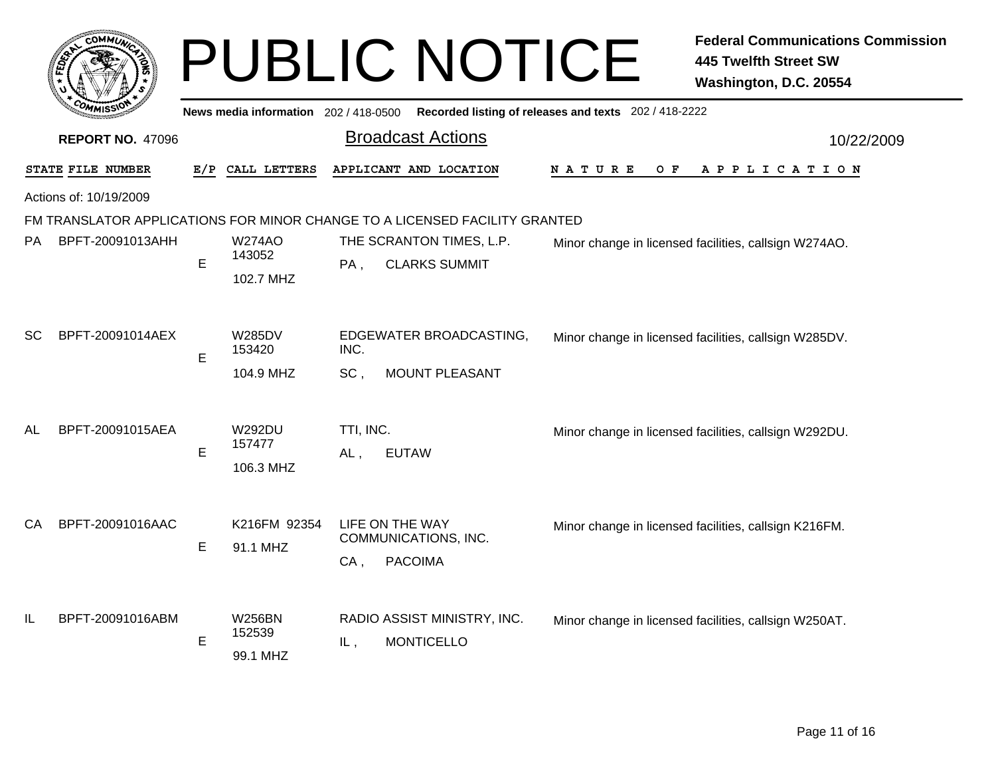|                         |                        |     |                                       |                  | <b>PUBLIC NOTICE</b>                                                       |                                                       | <b>Federal Communications Commission</b><br><b>445 Twelfth Street SW</b><br>Washington, D.C. 20554 |  |
|-------------------------|------------------------|-----|---------------------------------------|------------------|----------------------------------------------------------------------------|-------------------------------------------------------|----------------------------------------------------------------------------------------------------|--|
|                         |                        |     | News media information 202 / 418-0500 |                  |                                                                            | Recorded listing of releases and texts 202 / 418-2222 |                                                                                                    |  |
| <b>REPORT NO. 47096</b> |                        |     |                                       |                  | <b>Broadcast Actions</b>                                                   | 10/22/2009                                            |                                                                                                    |  |
|                         | STATE FILE NUMBER      | E/P | CALL LETTERS                          |                  | APPLICANT AND LOCATION                                                     | N A T U R E<br>O F                                    | A P P L I C A T I O N                                                                              |  |
|                         | Actions of: 10/19/2009 |     |                                       |                  |                                                                            |                                                       |                                                                                                    |  |
|                         |                        |     |                                       |                  | FM TRANSLATOR APPLICATIONS FOR MINOR CHANGE TO A LICENSED FACILITY GRANTED |                                                       |                                                                                                    |  |
| PA                      | BPFT-20091013AHH       |     | <b>W274AO</b><br>143052               |                  | THE SCRANTON TIMES, L.P.                                                   | Minor change in licensed facilities, callsign W274AO. |                                                                                                    |  |
|                         |                        | E   | 102.7 MHZ                             | PA,              | <b>CLARKS SUMMIT</b>                                                       |                                                       |                                                                                                    |  |
| SC                      | BPFT-20091014AEX       | E   | <b>W285DV</b><br>153420               | INC.             | EDGEWATER BROADCASTING,                                                    |                                                       | Minor change in licensed facilities, callsign W285DV.                                              |  |
|                         |                        |     | 104.9 MHZ                             | SC,              | MOUNT PLEASANT                                                             |                                                       |                                                                                                    |  |
| AL                      | BPFT-20091015AEA       | E   | <b>W292DU</b><br>157477<br>106.3 MHZ  | TTI, INC.<br>AL, | <b>EUTAW</b>                                                               |                                                       | Minor change in licensed facilities, callsign W292DU.                                              |  |
| CA                      | BPFT-20091016AAC       | E   | K216FM 92354<br>91.1 MHZ              | CA,              | LIFE ON THE WAY<br>COMMUNICATIONS, INC.<br><b>PACOIMA</b>                  |                                                       | Minor change in licensed facilities, callsign K216FM.                                              |  |
| IL                      | BPFT-20091016ABM       | E   | <b>W256BN</b><br>152539<br>99.1 MHZ   | IL,              | RADIO ASSIST MINISTRY, INC.<br><b>MONTICELLO</b>                           |                                                       | Minor change in licensed facilities, callsign W250AT.                                              |  |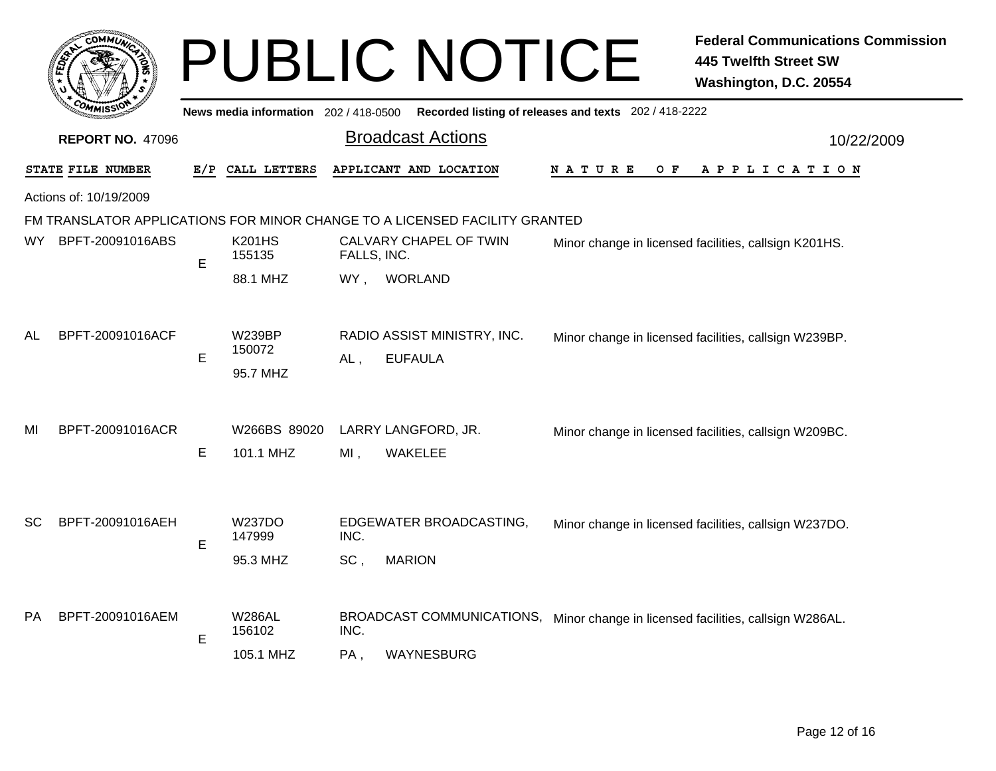|                         | <b>COMMUT</b>          |     |                                      |             | <b>PUBLIC NOTICE</b>                                                                          |                                                       | <b>Federal Communications Commission</b><br><b>445 Twelfth Street SW</b><br>Washington, D.C. 20554 |  |
|-------------------------|------------------------|-----|--------------------------------------|-------------|-----------------------------------------------------------------------------------------------|-------------------------------------------------------|----------------------------------------------------------------------------------------------------|--|
|                         |                        |     | News media information 202/418-0500  |             |                                                                                               | Recorded listing of releases and texts 202 / 418-2222 |                                                                                                    |  |
| <b>REPORT NO. 47096</b> |                        |     |                                      |             | <b>Broadcast Actions</b>                                                                      | 10/22/2009                                            |                                                                                                    |  |
|                         | STATE FILE NUMBER      | E/P | CALL LETTERS                         |             | APPLICANT AND LOCATION                                                                        | N A T U R E<br>O F                                    | A P P L I C A T I O N                                                                              |  |
|                         | Actions of: 10/19/2009 |     |                                      |             |                                                                                               |                                                       |                                                                                                    |  |
|                         |                        |     |                                      |             | FM TRANSLATOR APPLICATIONS FOR MINOR CHANGE TO A LICENSED FACILITY GRANTED                    |                                                       |                                                                                                    |  |
| WY.                     | BPFT-20091016ABS       | E   | <b>K201HS</b><br>155135              | FALLS, INC. | CALVARY CHAPEL OF TWIN                                                                        |                                                       | Minor change in licensed facilities, callsign K201HS.                                              |  |
|                         |                        |     | 88.1 MHZ                             | WY,         | <b>WORLAND</b>                                                                                |                                                       |                                                                                                    |  |
| AL                      | BPFT-20091016ACF       | E   | <b>W239BP</b><br>150072<br>95.7 MHZ  | AL,         | RADIO ASSIST MINISTRY, INC.<br><b>EUFAULA</b>                                                 |                                                       | Minor change in licensed facilities, callsign W239BP.                                              |  |
| MI                      | BPFT-20091016ACR       |     | W266BS 89020                         |             | LARRY LANGFORD, JR.                                                                           |                                                       | Minor change in licensed facilities, callsign W209BC.                                              |  |
|                         |                        | E   | 101.1 MHZ                            | $MI$ ,      | <b>WAKELEE</b>                                                                                |                                                       |                                                                                                    |  |
| SC.                     | BPFT-20091016AEH       | E   | <b>W237DO</b><br>147999<br>95.3 MHZ  | INC.<br>SC, | EDGEWATER BROADCASTING,<br><b>MARION</b>                                                      |                                                       | Minor change in licensed facilities, callsign W237DO.                                              |  |
| РA.                     | BPFT-20091016AEM       | E   | <b>W286AL</b><br>156102<br>105.1 MHZ | INC.<br>PA, | BROADCAST COMMUNICATIONS, Minor change in licensed facilities, callsign W286AL.<br>WAYNESBURG |                                                       |                                                                                                    |  |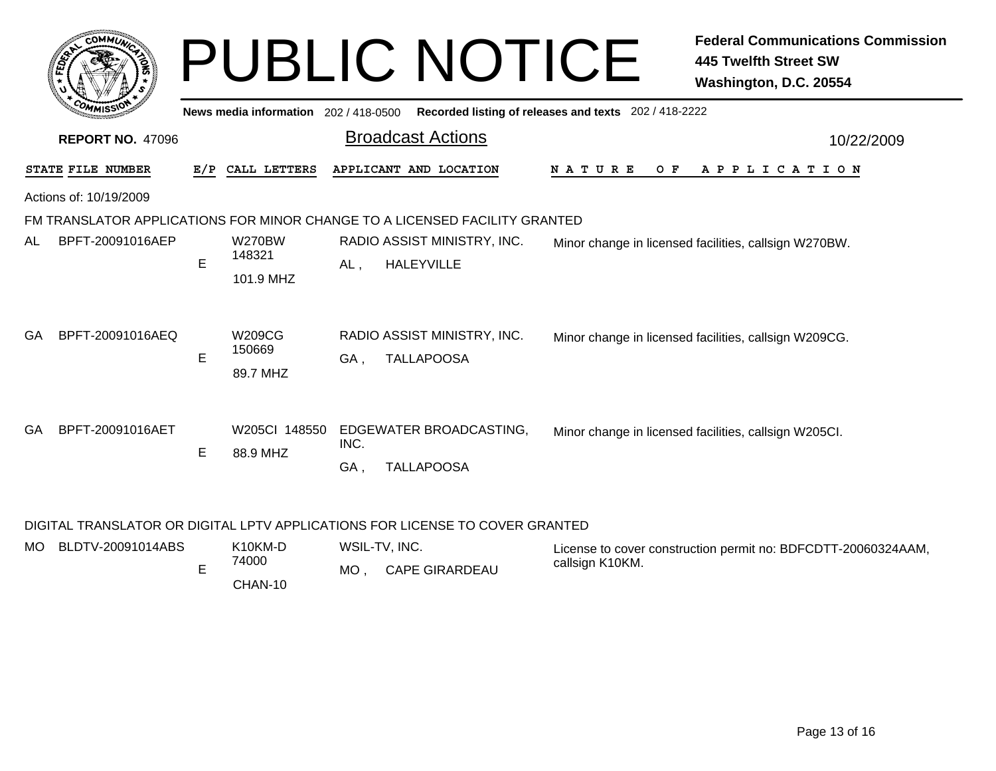|     | COMMIN                  |   |                                      | <b>PUBLIC NOTICE</b>                                                       |                                                       | <b>Federal Communications Commission</b><br><b>445 Twelfth Street SW</b><br>Washington, D.C. 20554 |
|-----|-------------------------|---|--------------------------------------|----------------------------------------------------------------------------|-------------------------------------------------------|----------------------------------------------------------------------------------------------------|
|     |                         |   | News media information 202/418-0500  |                                                                            | Recorded listing of releases and texts 202 / 418-2222 |                                                                                                    |
|     | <b>REPORT NO. 47096</b> |   |                                      | <b>Broadcast Actions</b>                                                   |                                                       | 10/22/2009                                                                                         |
|     | STATE FILE NUMBER       |   | E/P CALL LETTERS                     | APPLICANT AND LOCATION                                                     | N A T U R E<br>O F                                    | A P P L I C A T I O N                                                                              |
|     | Actions of: 10/19/2009  |   |                                      |                                                                            |                                                       |                                                                                                    |
|     |                         |   |                                      | FM TRANSLATOR APPLICATIONS FOR MINOR CHANGE TO A LICENSED FACILITY GRANTED |                                                       |                                                                                                    |
| AL  | BPFT-20091016AEP        | E | <b>W270BW</b><br>148321<br>101.9 MHZ | RADIO ASSIST MINISTRY, INC.<br><b>HALEYVILLE</b><br>AL,                    |                                                       | Minor change in licensed facilities, callsign W270BW.                                              |
| GA. | BPFT-20091016AEQ        | E | W209CG<br>150669<br>89.7 MHZ         | RADIO ASSIST MINISTRY, INC.<br><b>TALLAPOOSA</b><br>GA,                    |                                                       | Minor change in licensed facilities, callsign W209CG.                                              |
| GA. | BPFT-20091016AET        | E | W205CI 148550<br>88.9 MHZ            | EDGEWATER BROADCASTING,<br>INC.<br><b>TALLAPOOSA</b><br>GA,                |                                                       | Minor change in licensed facilities, callsign W205CI.                                              |

## DIGITAL TRANSLATOR OR DIGITAL LPTV APPLICATIONS FOR LICENSE TO COVER GRANTED

| MO BLDTV-20091014ABS |       | K <sub>10</sub> KM-D | WSIL-TV, INC. |                       | License to cover construction permit no: BDFCDTT-20060324AAM, |
|----------------------|-------|----------------------|---------------|-----------------------|---------------------------------------------------------------|
|                      | 74000 |                      | <b>MO</b>     | <b>CAPE GIRARDEAU</b> | callsign K10KM.                                               |
|                      |       | CHAN-10              |               |                       |                                                               |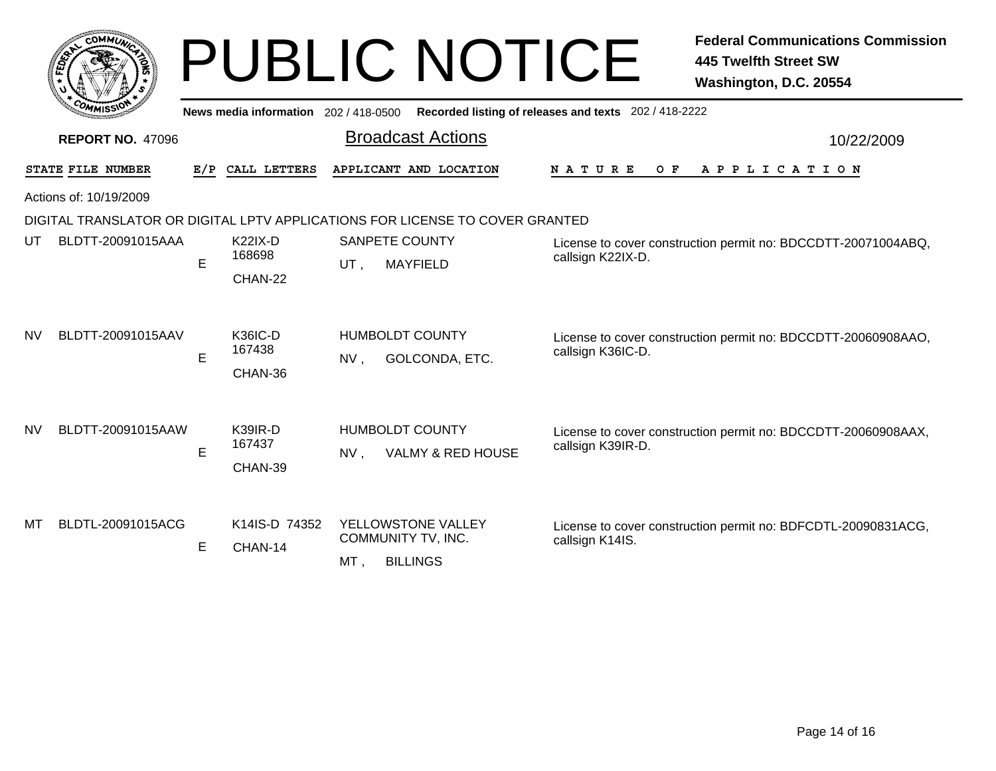|           | <b>COMMUL</b>           |     |                                       | <b>PUBLIC NOTICE</b>                                                         | <b>Federal Communications Commission</b><br><b>445 Twelfth Street SW</b><br>Washington, D.C. 20554 |
|-----------|-------------------------|-----|---------------------------------------|------------------------------------------------------------------------------|----------------------------------------------------------------------------------------------------|
|           |                         |     | News media information 202 / 418-0500 |                                                                              | Recorded listing of releases and texts 202 / 418-2222                                              |
|           | <b>REPORT NO. 47096</b> |     |                                       | <b>Broadcast Actions</b>                                                     | 10/22/2009                                                                                         |
|           | STATE FILE NUMBER       | E/P | CALL LETTERS                          | APPLICANT AND LOCATION                                                       | NATURE<br>$O$ $F$<br>APPLICATION                                                                   |
|           | Actions of: 10/19/2009  |     |                                       |                                                                              |                                                                                                    |
|           |                         |     |                                       | DIGITAL TRANSLATOR OR DIGITAL LPTV APPLICATIONS FOR LICENSE TO COVER GRANTED |                                                                                                    |
| UT        | BLDTT-20091015AAA       | E   | <b>K22IX-D</b><br>168698<br>CHAN-22   | <b>SANPETE COUNTY</b><br><b>MAYFIELD</b><br>UT.                              | License to cover construction permit no: BDCCDTT-20071004ABQ,<br>callsign K22IX-D.                 |
| <b>NV</b> | BLDTT-20091015AAV       | E   | <b>K36IC-D</b><br>167438<br>CHAN-36   | <b>HUMBOLDT COUNTY</b><br>GOLCONDA, ETC.<br>NV,                              | License to cover construction permit no: BDCCDTT-20060908AAO,<br>callsign K36IC-D.                 |
| <b>NV</b> | BLDTT-20091015AAW       | E   | K39IR-D<br>167437<br>CHAN-39          | <b>HUMBOLDT COUNTY</b><br>VALMY & RED HOUSE<br>NV.                           | License to cover construction permit no: BDCCDTT-20060908AAX,<br>callsign K39IR-D.                 |
| мт        | BLDTL-20091015ACG       | E.  | K14IS-D 74352<br>CHAN-14              | YELLOWSTONE VALLEY<br>COMMUNITY TV, INC.<br><b>BILLINGS</b><br>MT,           | License to cover construction permit no: BDFCDTL-20090831ACG,<br>callsign K14IS.                   |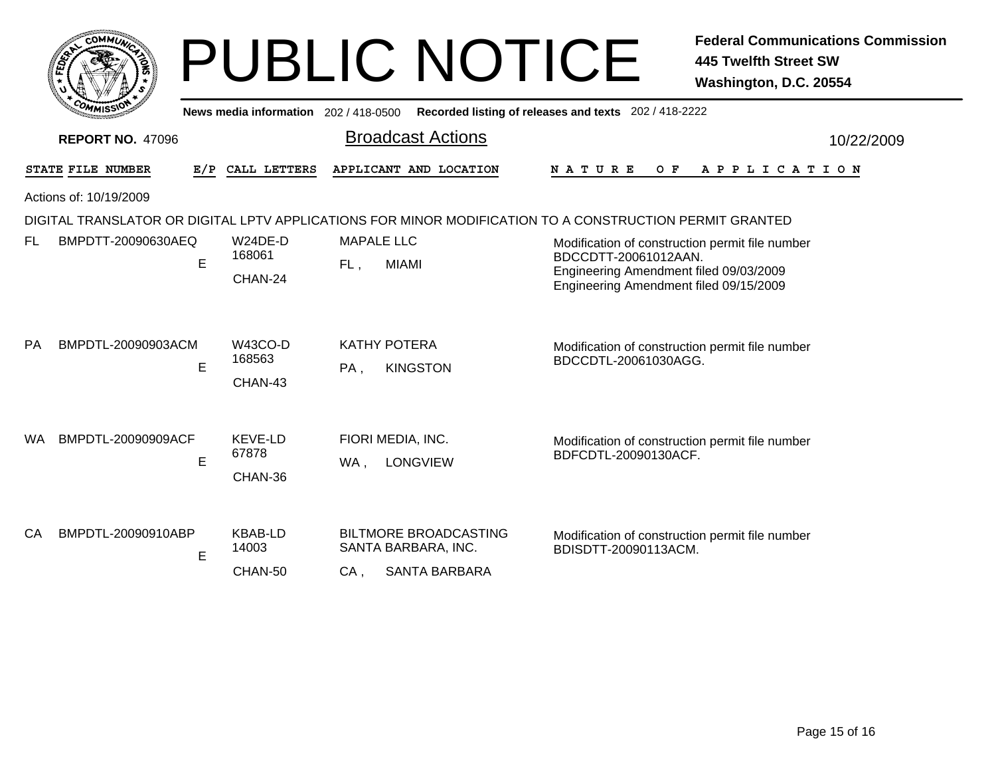|                                                                                                                                     |     |                                       |        | <b>PUBLIC NOTICE</b>                                  |                      |     | <b>Federal Communications Commission</b><br><b>445 Twelfth Street SW</b><br>Washington, D.C. 20554                                  |
|-------------------------------------------------------------------------------------------------------------------------------------|-----|---------------------------------------|--------|-------------------------------------------------------|----------------------|-----|-------------------------------------------------------------------------------------------------------------------------------------|
|                                                                                                                                     |     | News media information 202 / 418-0500 |        | Recorded listing of releases and texts 202 / 418-2222 |                      |     |                                                                                                                                     |
| <b>REPORT NO. 47096</b>                                                                                                             |     |                                       |        | <b>Broadcast Actions</b>                              |                      |     | 10/22/2009                                                                                                                          |
| STATE FILE NUMBER                                                                                                                   | E/P | CALL LETTERS                          |        | APPLICANT AND LOCATION                                | <b>NATURE</b>        | O F | A P P L I C A T I O N                                                                                                               |
| Actions of: 10/19/2009                                                                                                              |     |                                       |        |                                                       |                      |     |                                                                                                                                     |
| DIGITAL TRANSLATOR OR DIGITAL LPTV APPLICATIONS FOR MINOR MODIFICATION TO A CONSTRUCTION PERMIT GRANTED<br>BMPDTT-20090630AEQ<br>FL | E   | $W24DE-D$<br>168061<br>CHAN-24        | FL,    | <b>MAPALE LLC</b><br><b>MIAMI</b>                     | BDCCDTT-20061012AAN. |     | Modification of construction permit file number<br>Engineering Amendment filed 09/03/2009<br>Engineering Amendment filed 09/15/2009 |
| <b>PA</b><br>BMPDTL-20090903ACM                                                                                                     | E   | <b>W43CO-D</b><br>168563<br>CHAN-43   | $PA$ , | <b>KATHY POTERA</b><br><b>KINGSTON</b>                | BDCCDTL-20061030AGG. |     | Modification of construction permit file number                                                                                     |
| BMPDTL-20090909ACF<br>WA.                                                                                                           | E   | <b>KEVE-LD</b><br>67878<br>CHAN-36    | WA,    | FIORI MEDIA, INC.<br><b>LONGVIEW</b>                  | BDFCDTL-20090130ACF. |     | Modification of construction permit file number                                                                                     |
| BMPDTL-20090910ABP<br>CA                                                                                                            | E   | <b>KBAB-LD</b><br>14003               |        | <b>BILTMORE BROADCASTING</b><br>SANTA BARBARA, INC.   | BDISDTT-20090113ACM. |     | Modification of construction permit file number                                                                                     |
|                                                                                                                                     |     | CHAN-50                               | CA,    | <b>SANTA BARBARA</b>                                  |                      |     |                                                                                                                                     |